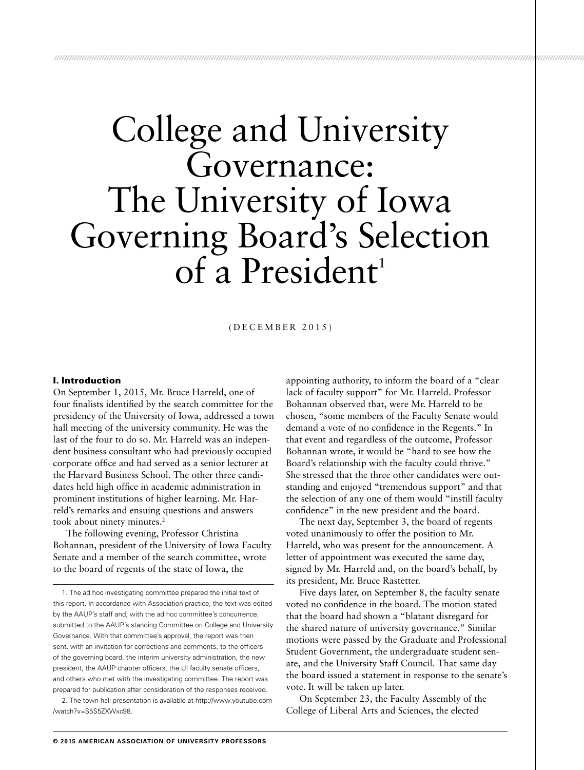# College and University Governance: The University of Iowa Governing Board's Selection of a President<sup>1</sup>

*/////////////////////////////////////////////////////////////////////////////////////////////////////////////////////////////////////////////////////////////////////////////////////////////////////////////////////////*

(DECEMBER 2015)

#### I. Introduction

On September 1, 2015, Mr. Bruce Harreld, one of four finalists identified by the search committee for the presidency of the University of Iowa, addressed a town hall meeting of the university community. He was the last of the four to do so. Mr. Harreld was an independent business consultant who had previously occupied corporate office and had served as a senior lecturer at the Harvard Business School. The other three candidates held high office in academic administration in prominent institutions of higher learning. Mr. Harreld's remarks and ensuing questions and answers took about ninety minutes.<sup>2</sup>

The following evening, Professor Christina Bohannan, president of the University of Iowa Faculty Senate and a member of the search committee, wrote to the board of regents of the state of Iowa, the

1. The ad hoc investigating committee prepared the initial text of this report. In accordance with Association practice, the text was edited by the AAUP's staff and, with the ad hoc committee's concurrence, submitted to the AAUP's standing Committee on College and University Governance. With that committee's approval, the report was then sent, with an invitation for corrections and comments, to the officers of the governing board, the interim university administration, the new president, the AAUP chapter officers, the UI faculty senate officers, and others who met with the investigating committee. The report was prepared for publication after consideration of the responses received.

2. The town hall presentation is available at [http://www.youtube.com](http://www.youtube.com/watch?v=S5S5ZXWxc98) [/watch?v=S5S5ZXWxc98.](http://www.youtube.com/watch?v=S5S5ZXWxc98)

appointing authority, to inform the board of a "clear lack of faculty support" for Mr. Harreld. Professor Bohannan observed that, were Mr. Harreld to be chosen, "some members of the Faculty Senate would demand a vote of no confidence in the Regents." In that event and regardless of the outcome, Professor Bohannan wrote, it would be "hard to see how the Board's relationship with the faculty could thrive." She stressed that the three other candidates were outstanding and enjoyed "tremendous support" and that the selection of any one of them would "instill faculty confidence" in the new president and the board.

The next day, September 3, the board of regents voted unanimously to offer the position to Mr. Harreld, who was present for the announcement. A letter of appointment was executed the same day, signed by Mr. Harreld and, on the board's behalf, by its president, Mr. Bruce Rastetter.

Five days later, on September 8, the faculty senate voted no confidence in the board. The motion stated that the board had shown a "blatant disregard for the shared nature of university governance." Similar motions were passed by the Graduate and Professional Student Government, the undergraduate student senate, and the University Staff Council. That same day the board issued a statement in response to the senate's vote. It will be taken up later.

On September 23, the Faculty Assembly of the College of Liberal Arts and Sciences, the elected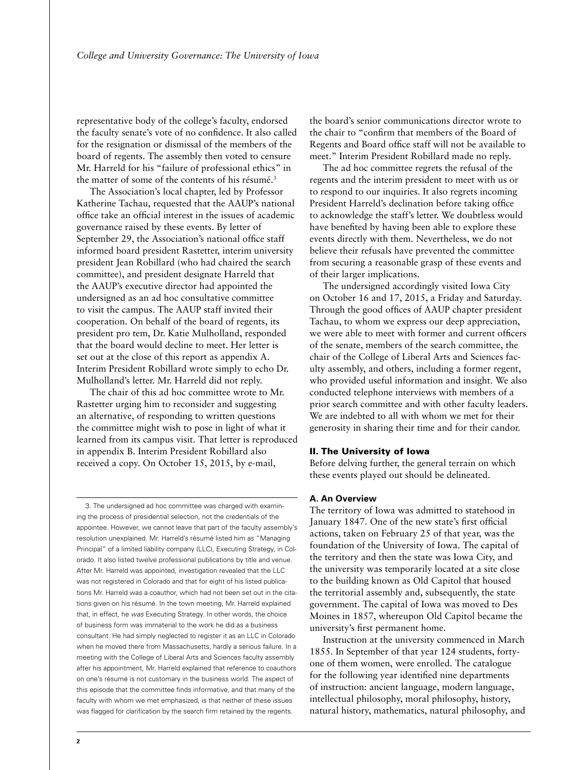representative body of the college's faculty, endorsed the faculty senate's vote of no confidence. It also called for the resignation or dismissal of the members of the board of regents. The assembly then voted to censure Mr. Harreld for his "failure of professional ethics" in the matter of some of the contents of his résumé.<sup>3</sup>

The Association's local chapter, led by Professor Katherine Tachau, requested that the AAUP's national office take an official interest in the issues of academic governance raised by these events. By letter of September 29, the Association's national office staff informed board president Rastetter, interim university president Jean Robillard (who had chaired the search committee), and president designate Harreld that the AAUP's executive director had appointed the undersigned as an ad hoc consultative committee to visit the campus. The AAUP staff invited their cooperation. On behalf of the board of regents, its president pro tem, Dr. Katie Mulholland, responded that the board would decline to meet. Her letter is set out at the close of this report as appendix A. Interim President Robillard wrote simply to echo Dr. Mulholland's letter. Mr. Harreld did not reply.

The chair of this ad hoc committee wrote to Mr. Rastetter urging him to reconsider and suggesting an alternative, of responding to written questions the committee might wish to pose in light of what it learned from its campus visit. That letter is reproduced in appendix B. Interim President Robillard also received a copy. On October 15, 2015, by e-mail,

3. The undersigned ad hoc committee was charged with examining the process of presidential selection, not the credentials of the appointee. However, we cannot leave that part of the faculty assembly's resolution unexplained. Mr. Harreld's résumé listed him as "Managing Principal" of a limited liability company (LLC), Executing Strategy, in Colorado. It also listed twelve professional publications by title and venue. After Mr. Harreld was appointed, investigation revealed that the LLC was not registered in Colorado and that for eight of his listed publications Mr. Harreld was a coauthor, which had not been set out in the citations given on his résumé. In the town meeting, Mr. Harreld explained that, in effect, he *was* Executing Strategy. In other words, the choice of business form was immaterial to the work he did as a business consultant. He had simply neglected to register it as an LLC in Colorado when he moved there from Massachusetts, hardly a serious failure. In a meeting with the College of Liberal Arts and Sciences faculty assembly after his appointment, Mr. Harreld explained that reference to coauthors on one's résumé is not customary in the business world. The aspect of this episode that the committee finds informative, and that many of the faculty with whom we met emphasized, is that neither of these issues was flagged for clarification by the search firm retained by the regents.

the board's senior communications director wrote to the chair to "confirm that members of the Board of Regents and Board office staff will not be available to meet." Interim President Robillard made no reply.

The ad hoc committee regrets the refusal of the regents and the interim president to meet with us or to respond to our inquiries. It also regrets incoming President Harreld's declination before taking office to acknowledge the staff's letter. We doubtless would have benefited by having been able to explore these events directly with them. Nevertheless, we do not believe their refusals have prevented the committee from securing a reasonable grasp of these events and of their larger implications.

The undersigned accordingly visited Iowa City on October 16 and 17, 2015, a Friday and Saturday. Through the good offices of AAUP chapter president Tachau, to whom we express our deep appreciation, we were able to meet with former and current officers of the senate, members of the search committee, the chair of the College of Liberal Arts and Sciences faculty assembly, and others, including a former regent, who provided useful information and insight. We also conducted telephone interviews with members of a prior search committee and with other faculty leaders. We are indebted to all with whom we met for their generosity in sharing their time and for their candor.

#### II. The University of Iowa

Before delving further, the general terrain on which these events played out should be delineated.

# **A. An Overview**

The territory of Iowa was admitted to statehood in January 1847. One of the new state's first official actions, taken on February 25 of that year, was the foundation of the University of Iowa. The capital of the territory and then the state was Iowa City, and the university was temporarily located at a site close to the building known as Old Capitol that housed the territorial assembly and, subsequently, the state government. The capital of Iowa was moved to Des Moines in 1857, whereupon Old Capitol became the university's first permanent home.

Instruction at the university commenced in March 1855. In September of that year 124 students, fortyone of them women, were enrolled. The catalogue for the following year identified nine departments of instruction: ancient language, modern language, intellectual philosophy, moral philosophy, history, natural history, mathematics, natural philosophy, and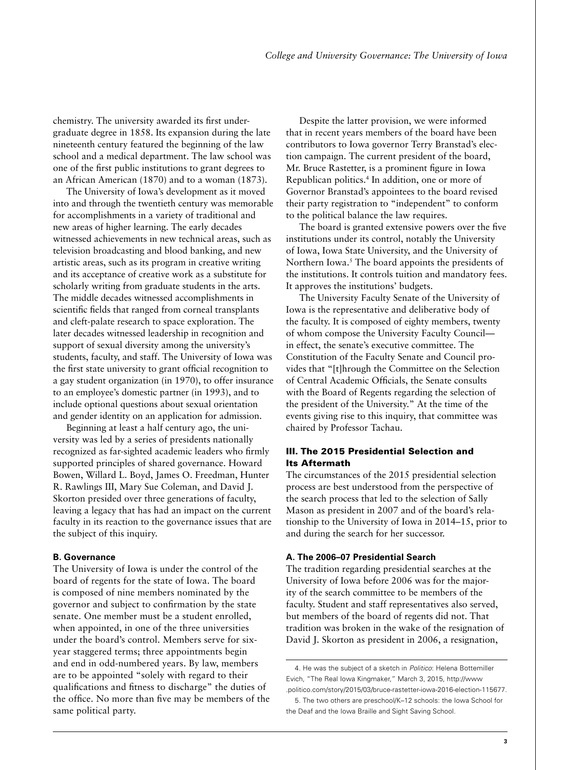chemistry. The university awarded its first undergraduate degree in 1858. Its expansion during the late nineteenth century featured the beginning of the law school and a medical department. The law school was one of the first public institutions to grant degrees to an African American (1870) and to a woman (1873).

The University of Iowa's development as it moved into and through the twentieth century was memorable for accomplishments in a variety of traditional and new areas of higher learning. The early decades witnessed achievements in new technical areas, such as television broadcasting and blood banking, and new artistic areas, such as its program in creative writing and its acceptance of creative work as a substitute for scholarly writing from graduate students in the arts. The middle decades witnessed accomplishments in scientific fields that ranged from corneal transplants and cleft-palate research to space exploration. The later decades witnessed leadership in recognition and support of sexual diversity among the university's students, faculty, and staff. The University of Iowa was the first state university to grant official recognition to a gay student organization (in 1970), to offer insurance to an employee's domestic partner (in 1993), and to include optional questions about sexual orientation and gender identity on an application for admission.

Beginning at least a half century ago, the university was led by a series of presidents nationally recognized as far-sighted academic leaders who firmly supported principles of shared governance. Howard Bowen, Willard L. Boyd, James O. Freedman, Hunter R. Rawlings III, Mary Sue Coleman, and David J. Skorton presided over three generations of faculty, leaving a legacy that has had an impact on the current faculty in its reaction to the governance issues that are the subject of this inquiry.

#### **B. Governance**

The University of Iowa is under the control of the board of regents for the state of Iowa. The board is composed of nine members nominated by the governor and subject to confirmation by the state senate. One member must be a student enrolled, when appointed, in one of the three universities under the board's control. Members serve for sixyear staggered terms; three appointments begin and end in odd-numbered years. By law, members are to be appointed "solely with regard to their qualifications and fitness to discharge" the duties of the office. No more than five may be members of the same political party.

Despite the latter provision, we were informed that in recent years members of the board have been contributors to Iowa governor Terry Branstad's election campaign. The current president of the board, Mr. Bruce Rastetter, is a prominent figure in Iowa Republican politics.4 In addition, one or more of Governor Branstad's appointees to the board revised their party registration to "independent" to conform to the political balance the law requires.

The board is granted extensive powers over the five institutions under its control, notably the University of Iowa, Iowa State University, and the University of Northern Iowa.<sup>5</sup> The board appoints the presidents of the institutions. It controls tuition and mandatory fees. It approves the institutions' budgets.

The University Faculty Senate of the University of Iowa is the representative and deliberative body of the faculty. It is composed of eighty members, twenty of whom compose the University Faculty Council in effect, the senate's executive committee. The Constitution of the Faculty Senate and Council provides that "[t]hrough the Committee on the Selection of Central Academic Officials, the Senate consults with the Board of Regents regarding the selection of the president of the University." At the time of the events giving rise to this inquiry, that committee was chaired by Professor Tachau.

# III. The 2015 Presidential Selection and Its Aftermath

The circumstances of the 2015 presidential selection process are best understood from the perspective of the search process that led to the selection of Sally Mason as president in 2007 and of the board's relationship to the University of Iowa in 2014–15, prior to and during the search for her successor.

### **A. The 2006–07 Presidential Search**

The tradition regarding presidential searches at the University of Iowa before 2006 was for the majority of the search committee to be members of the faculty. Student and staff representatives also served, but members of the board of regents did not. That tradition was broken in the wake of the resignation of David J. Skorton as president in 2006, a resignation,

<sup>4.</sup> He was the subject of a sketch in *Politico*: Helena Bottemiller Evich, "The Real Iowa Kingmaker," March 3, 2015, http://www .politico.com/story/2015/03/bruce-rastetter-iowa-2016-election-115677.

<sup>5.</sup> The two others are preschool/K–12 schools: the Iowa School for the Deaf and the Iowa Braille and Sight Saving School.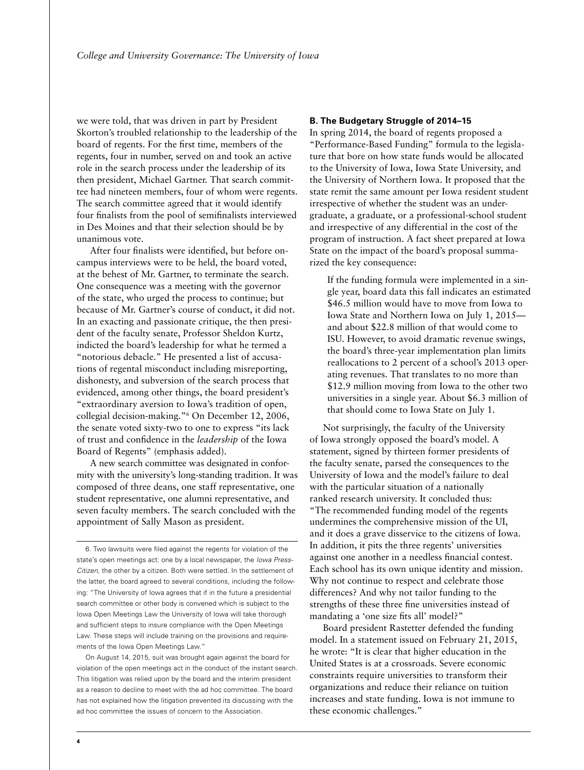we were told, that was driven in part by President Skorton's troubled relationship to the leadership of the board of regents. For the first time, members of the regents, four in number, served on and took an active role in the search process under the leadership of its then president, Michael Gartner. That search committee had nineteen members, four of whom were regents. The search committee agreed that it would identify four finalists from the pool of semifinalists interviewed in Des Moines and that their selection should be by unanimous vote.

After four finalists were identified, but before oncampus interviews were to be held, the board voted, at the behest of Mr. Gartner, to terminate the search. One consequence was a meeting with the governor of the state, who urged the process to continue; but because of Mr. Gartner's course of conduct, it did not. In an exacting and passionate critique, the then president of the faculty senate, Professor Sheldon Kurtz, indicted the board's leadership for what he termed a "notorious debacle." He presented a list of accusations of regental misconduct including misreporting, dishonesty, and subversion of the search process that evidenced, among other things, the board president's "extraordinary aversion to Iowa's tradition of open, collegial decision-making."6 On December 12, 2006, the senate voted sixty-two to one to express "its lack of trust and confidence in the *leadership* of the Iowa Board of Regents" (emphasis added).

A new search committee was designated in conformity with the university's long-standing tradition. It was composed of three deans, one staff representative, one student representative, one alumni representative, and seven faculty members. The search concluded with the appointment of Sally Mason as president.

On August 14, 2015, suit was brought again against the board for violation of the open meetings act in the conduct of the instant search. This litigation was relied upon by the board and the interim president as a reason to decline to meet with the ad hoc committee. The board has not explained how the litigation prevented its discussing with the ad hoc committee the issues of concern to the Association.

#### **B. The Budgetary Struggle of 2014–15**

In spring 2014, the board of regents proposed a "Performance-Based Funding" formula to the legislature that bore on how state funds would be allocated to the University of Iowa, Iowa State University, and the University of Northern Iowa. It proposed that the state remit the same amount per Iowa resident student irrespective of whether the student was an undergraduate, a graduate, or a professional-school student and irrespective of any differential in the cost of the program of instruction. A fact sheet prepared at Iowa State on the impact of the board's proposal summarized the key consequence:

If the funding formula were implemented in a single year, board data this fall indicates an estimated \$46.5 million would have to move from Iowa to Iowa State and Northern Iowa on July 1, 2015 and about \$22.8 million of that would come to ISU. However, to avoid dramatic revenue swings, the board's three-year implementation plan limits reallocations to 2 percent of a school's 2013 operating revenues. That translates to no more than \$12.9 million moving from Iowa to the other two universities in a single year. About \$6.3 million of that should come to Iowa State on July 1.

Not surprisingly, the faculty of the University of Iowa strongly opposed the board's model. A statement, signed by thirteen former presidents of the faculty senate, parsed the consequences to the University of Iowa and the model's failure to deal with the particular situation of a nationally ranked research university. It concluded thus: "The recommended funding model of the regents undermines the comprehensive mission of the UI, and it does a grave disservice to the citizens of Iowa. In addition, it pits the three regents' universities against one another in a needless financial contest. Each school has its own unique identity and mission. Why not continue to respect and celebrate those differences? And why not tailor funding to the strengths of these three fine universities instead of mandating a 'one size fits all' model?"

Board president Rastetter defended the funding model. In a statement issued on February 21, 2015, he wrote: "It is clear that higher education in the United States is at a crossroads. Severe economic constraints require universities to transform their organizations and reduce their reliance on tuition increases and state funding. Iowa is not immune to these economic challenges."

<sup>6.</sup> Two lawsuits were filed against the regents for violation of the state's open meetings act: one by a local newspaper, the *Iowa Press-Citizen*, the other by a citizen. Both were settled. In the settlement of the latter, the board agreed to several conditions, including the following: "The University of Iowa agrees that if in the future a presidential search committee or other body is convened which is subject to the Iowa Open Meetings Law the University of Iowa will take thorough and sufficient steps to insure compliance with the Open Meetings Law. These steps will include training on the provisions and requirements of the Iowa Open Meetings Law."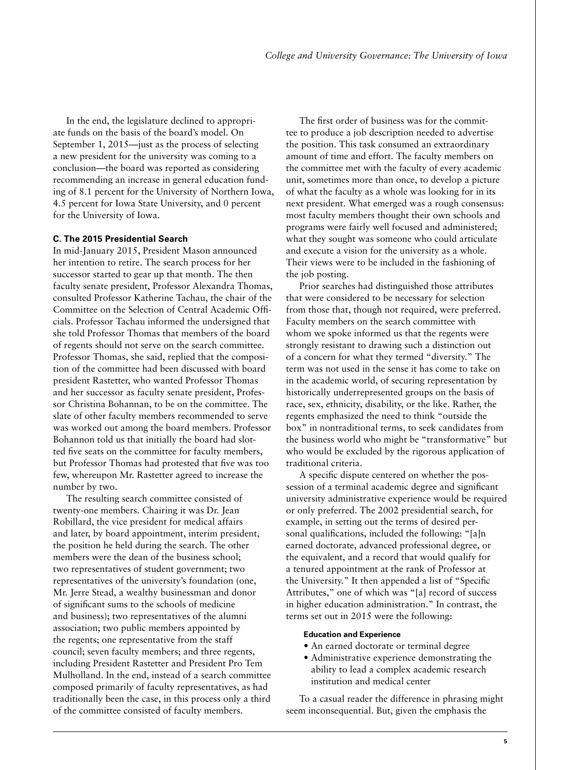In the end, the legislature declined to appropriate funds on the basis of the board's model. On September 1, 2015—just as the process of selecting a new president for the university was coming to a conclusion—the board was reported as considering recommending an increase in general education funding of 8.1 percent for the University of Northern Iowa, 4.5 percent for Iowa State University, and 0 percent for the University of Iowa.

#### **C. The 2015 Presidential Search**

In mid-January 2015, President Mason announced her intention to retire. The search process for her successor started to gear up that month. The then faculty senate president, Professor Alexandra Thomas, consulted Professor Katherine Tachau, the chair of the Committee on the Selection of Central Academic Officials. Professor Tachau informed the undersigned that she told Professor Thomas that members of the board of regents should not serve on the search committee. Professor Thomas, she said, replied that the composition of the committee had been discussed with board president Rastetter, who wanted Professor Thomas and her successor as faculty senate president, Professor Christina Bohannan, to be on the committee. The slate of other faculty members recommended to serve was worked out among the board members. Professor Bohannon told us that initially the board had slotted five seats on the committee for faculty members, but Professor Thomas had protested that five was too few, whereupon Mr. Rastetter agreed to increase the number by two.

The resulting search committee consisted of twenty-one members. Chairing it was Dr. Jean Robillard, the vice president for medical affairs and later, by board appointment, interim president, the position he held during the search. The other members were the dean of the business school; two representatives of student government; two representatives of the university's foundation (one, Mr. Jerre Stead, a wealthy businessman and donor of significant sums to the schools of medicine and business); two representatives of the alumni association; two public members appointed by the regents; one representative from the staff council; seven faculty members; and three regents, including President Rastetter and President Pro Tem Mulholland. In the end, instead of a search committee composed primarily of faculty representatives, as had traditionally been the case, in this process only a third of the committee consisted of faculty members.

The first order of business was for the committee to produce a job description needed to advertise the position. This task consumed an extraordinary amount of time and effort. The faculty members on the committee met with the faculty of every academic unit, sometimes more than once, to develop a picture of what the faculty as a whole was looking for in its next president. What emerged was a rough consensus: most faculty members thought their own schools and programs were fairly well focused and administered; what they sought was someone who could articulate and execute a vision for the university as a whole. Their views were to be included in the fashioning of the job posting.

Prior searches had distinguished those attributes that were considered to be necessary for selection from those that, though not required, were preferred. Faculty members on the search committee with whom we spoke informed us that the regents were strongly resistant to drawing such a distinction out of a concern for what they termed "diversity." The term was not used in the sense it has come to take on in the academic world, of securing representation by historically underrepresented groups on the basis of race, sex, ethnicity, disability, or the like. Rather, the regents emphasized the need to think "outside the box" in nontraditional terms, to seek candidates from the business world who might be "transformative" but who would be excluded by the rigorous application of traditional criteria.

A specific dispute centered on whether the possession of a terminal academic degree and significant university administrative experience would be required or only preferred. The 2002 presidential search, for example, in setting out the terms of desired personal qualifications, included the following: "[a]n earned doctorate, advanced professional degree, or the equivalent, and a record that would qualify for a tenured appointment at the rank of Professor at the University." It then appended a list of "Specific Attributes," one of which was "[a] record of success in higher education administration." In contrast, the terms set out in 2015 were the following:

#### **Education and Experience**

- An earned doctorate or terminal degree
- Administrative experience demonstrating the ability to lead a complex academic research institution and medical center

To a casual reader the difference in phrasing might seem inconsequential. But, given the emphasis the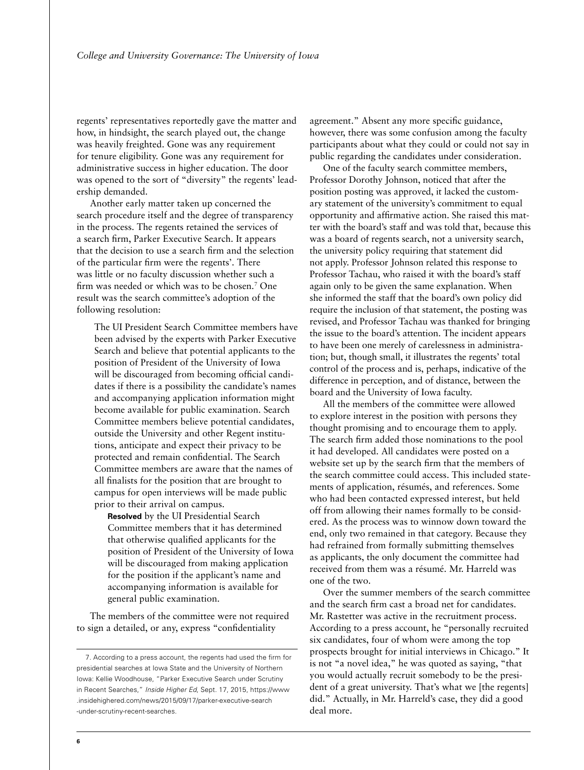regents' representatives reportedly gave the matter and how, in hindsight, the search played out, the change was heavily freighted. Gone was any requirement for tenure eligibility. Gone was any requirement for administrative success in higher education. The door was opened to the sort of "diversity" the regents' leadership demanded.

Another early matter taken up concerned the search procedure itself and the degree of transparency in the process. The regents retained the services of a search firm, Parker Executive Search. It appears that the decision to use a search firm and the selection of the particular firm were the regents'. There was little or no faculty discussion whether such a firm was needed or which was to be chosen.7 One result was the search committee's adoption of the following resolution:

The UI President Search Committee members have been advised by the experts with Parker Executive Search and believe that potential applicants to the position of President of the University of Iowa will be discouraged from becoming official candidates if there is a possibility the candidate's names and accompanying application information might become available for public examination. Search Committee members believe potential candidates, outside the University and other Regent institutions, anticipate and expect their privacy to be protected and remain confidential. The Search Committee members are aware that the names of all finalists for the position that are brought to campus for open interviews will be made public prior to their arrival on campus.

**Resolved** by the UI Presidential Search Committee members that it has determined that otherwise qualified applicants for the position of President of the University of Iowa will be discouraged from making application for the position if the applicant's name and accompanying information is available for general public examination.

The members of the committee were not required to sign a detailed, or any, express "confidentiality

agreement." Absent any more specific guidance, however, there was some confusion among the faculty participants about what they could or could not say in public regarding the candidates under consideration.

One of the faculty search committee members, Professor Dorothy Johnson, noticed that after the position posting was approved, it lacked the customary statement of the university's commitment to equal opportunity and affirmative action. She raised this matter with the board's staff and was told that, because this was a board of regents search, not a university search, the university policy requiring that statement did not apply. Professor Johnson related this response to Professor Tachau, who raised it with the board's staff again only to be given the same explanation. When she informed the staff that the board's own policy did require the inclusion of that statement, the posting was revised, and Professor Tachau was thanked for bringing the issue to the board's attention. The incident appears to have been one merely of carelessness in administration; but, though small, it illustrates the regents' total control of the process and is, perhaps, indicative of the difference in perception, and of distance, between the board and the University of Iowa faculty.

All the members of the committee were allowed to explore interest in the position with persons they thought promising and to encourage them to apply. The search firm added those nominations to the pool it had developed. All candidates were posted on a website set up by the search firm that the members of the search committee could access. This included statements of application, résumés, and references. Some who had been contacted expressed interest, but held off from allowing their names formally to be considered. As the process was to winnow down toward the end, only two remained in that category. Because they had refrained from formally submitting themselves as applicants, the only document the committee had received from them was a résumé. Mr. Harreld was one of the two.

Over the summer members of the search committee and the search firm cast a broad net for candidates. Mr. Rastetter was active in the recruitment process. According to a press account, he "personally recruited six candidates, four of whom were among the top prospects brought for initial interviews in Chicago." It is not "a novel idea," he was quoted as saying, "that you would actually recruit somebody to be the president of a great university. That's what we [the regents] did." Actually, in Mr. Harreld's case, they did a good deal more.

<sup>7.</sup> According to a press account, the regents had used the firm for presidential searches at Iowa State and the University of Northern Iowa: Kellie Woodhouse, "Parker Executive Search under Scrutiny in Recent Searches," *Inside Higher Ed*, Sept. 17, 2015, [https://www](https://www.insidehighered.com/news/2015/09/17/parker-executive-search-under-scrutiny-recent-searches) [.insidehighered.com/news/2015/09/17/parker-executive-search](https://www.insidehighered.com/news/2015/09/17/parker-executive-search-under-scrutiny-recent-searches) [-under-scrutiny-recent-searches.](https://www.insidehighered.com/news/2015/09/17/parker-executive-search-under-scrutiny-recent-searches)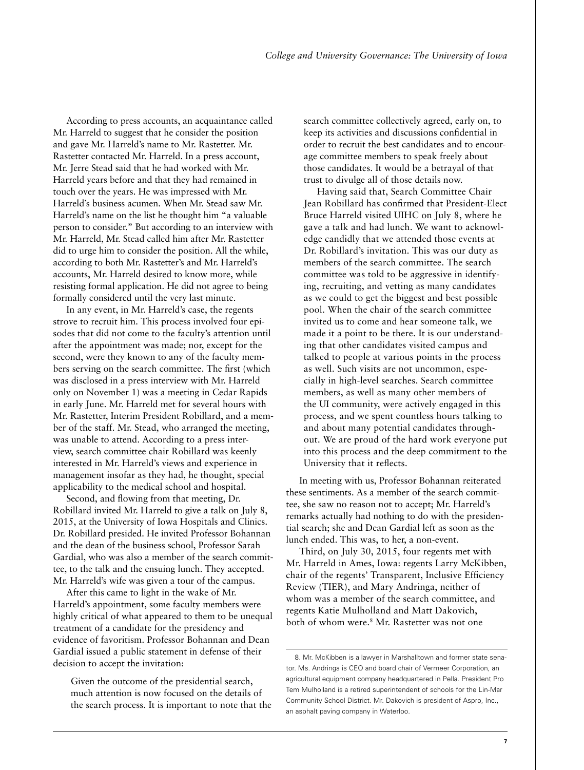According to press accounts, an acquaintance called Mr. Harreld to suggest that he consider the position and gave Mr. Harreld's name to Mr. Rastetter. Mr. Rastetter contacted Mr. Harreld. In a press account, Mr. Jerre Stead said that he had worked with Mr. Harreld years before and that they had remained in touch over the years. He was impressed with Mr. Harreld's business acumen. When Mr. Stead saw Mr. Harreld's name on the list he thought him "a valuable person to consider." But according to an interview with Mr. Harreld, Mr. Stead called him after Mr. Rastetter did to urge him to consider the position. All the while, according to both Mr. Rastetter's and Mr. Harreld's accounts, Mr. Harreld desired to know more, while resisting formal application. He did not agree to being formally considered until the very last minute.

In any event, in Mr. Harreld's case, the regents strove to recruit him. This process involved four episodes that did not come to the faculty's attention until after the appointment was made; nor, except for the second, were they known to any of the faculty members serving on the search committee. The first (which was disclosed in a press interview with Mr. Harreld only on November 1) was a meeting in Cedar Rapids in early June. Mr. Harreld met for several hours with Mr. Rastetter, Interim President Robillard, and a member of the staff. Mr. Stead, who arranged the meeting, was unable to attend. According to a press interview, search committee chair Robillard was keenly interested in Mr. Harreld's views and experience in management insofar as they had, he thought, special applicability to the medical school and hospital.

Second, and flowing from that meeting, Dr. Robillard invited Mr. Harreld to give a talk on July 8, 2015, at the University of Iowa Hospitals and Clinics. Dr. Robillard presided. He invited Professor Bohannan and the dean of the business school, Professor Sarah Gardial, who was also a member of the search committee, to the talk and the ensuing lunch. They accepted. Mr. Harreld's wife was given a tour of the campus.

After this came to light in the wake of Mr. Harreld's appointment, some faculty members were highly critical of what appeared to them to be unequal treatment of a candidate for the presidency and evidence of favoritism. Professor Bohannan and Dean Gardial issued a public statement in defense of their decision to accept the invitation:

Given the outcome of the presidential search, much attention is now focused on the details of the search process. It is important to note that the search committee collectively agreed, early on, to keep its activities and discussions confidential in order to recruit the best candidates and to encourage committee members to speak freely about those candidates. It would be a betrayal of that trust to divulge all of those details now.

Having said that, Search Committee Chair Jean Robillard has confirmed that President-Elect Bruce Harreld visited UIHC on July 8, where he gave a talk and had lunch. We want to acknowledge candidly that we attended those events at Dr. Robillard's invitation. This was our duty as members of the search committee. The search committee was told to be aggressive in identifying, recruiting, and vetting as many candidates as we could to get the biggest and best possible pool. When the chair of the search committee invited us to come and hear someone talk, we made it a point to be there. It is our understanding that other candidates visited campus and talked to people at various points in the process as well. Such visits are not uncommon, especially in high-level searches. Search committee members, as well as many other members of the UI community, were actively engaged in this process, and we spent countless hours talking to and about many potential candidates throughout. We are proud of the hard work everyone put into this process and the deep commitment to the University that it reflects.

In meeting with us, Professor Bohannan reiterated these sentiments. As a member of the search committee, she saw no reason not to accept; Mr. Harreld's remarks actually had nothing to do with the presidential search; she and Dean Gardial left as soon as the lunch ended. This was, to her, a non-event.

Third, on July 30, 2015, four regents met with Mr. Harreld in Ames, Iowa: regents Larry McKibben, chair of the regents' Transparent, Inclusive Efficiency Review (TIER), and Mary Andringa, neither of whom was a member of the search committee, and regents Katie Mulholland and Matt Dakovich, both of whom were.8 Mr. Rastetter was not one

<sup>8.</sup> Mr. McKibben is a lawyer in Marshalltown and former state senator. Ms. Andringa is CEO and board chair of Vermeer Corporation, an agricultural equipment company headquartered in Pella. President Pro Tem Mulholland is a retired superintendent of schools for the Lin-Mar Community School District. Mr. Dakovich is president of Aspro, Inc., an asphalt paving company in Waterloo.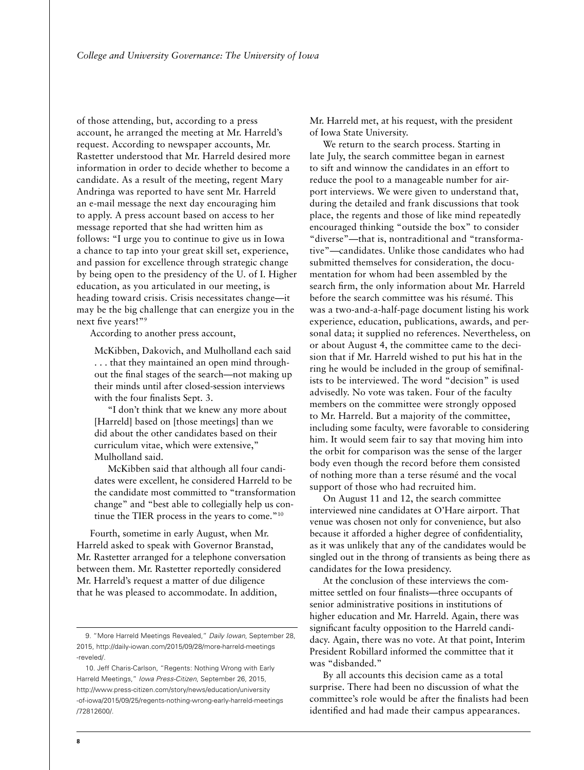of those attending, but, according to a press account, he arranged the meeting at Mr. Harreld's request. According to newspaper accounts, Mr. Rastetter understood that Mr. Harreld desired more information in order to decide whether to become a candidate. As a result of the meeting, regent Mary Andringa was reported to have sent Mr. Harreld an e-mail message the next day encouraging him to apply. A press account based on access to her message reported that she had written him as follows: "I urge you to continue to give us in Iowa a chance to tap into your great skill set, experience, and passion for excellence through strategic change by being open to the presidency of the U. of I. Higher education, as you articulated in our meeting, is heading toward crisis. Crisis necessitates change—it may be the big challenge that can energize you in the next five years!"<sup>9</sup>

According to another press account,

McKibben, Dakovich, and Mulholland each said . . . that they maintained an open mind throughout the final stages of the search—not making up their minds until after closed-session interviews with the four finalists Sept. 3.

"I don't think that we knew any more about [Harreld] based on [those meetings] than we did about the other candidates based on their curriculum vitae, which were extensive," Mulholland said.

McKibben said that although all four candidates were excellent, he considered Harreld to be the candidate most committed to "transformation change" and "best able to collegially help us continue the TIER process in the years to come."10

Fourth, sometime in early August, when Mr. Harreld asked to speak with Governor Branstad, Mr. Rastetter arranged for a telephone conversation between them. Mr. Rastetter reportedly considered Mr. Harreld's request a matter of due diligence that he was pleased to accommodate. In addition,

Mr. Harreld met, at his request, with the president of Iowa State University.

We return to the search process. Starting in late July, the search committee began in earnest to sift and winnow the candidates in an effort to reduce the pool to a manageable number for airport interviews. We were given to understand that, during the detailed and frank discussions that took place, the regents and those of like mind repeatedly encouraged thinking "outside the box" to consider "diverse"—that is, nontraditional and "transformative"—candidates. Unlike those candidates who had submitted themselves for consideration, the documentation for whom had been assembled by the search firm, the only information about Mr. Harreld before the search committee was his résumé. This was a two-and-a-half-page document listing his work experience, education, publications, awards, and personal data; it supplied no references. Nevertheless, on or about August 4, the committee came to the decision that if Mr. Harreld wished to put his hat in the ring he would be included in the group of semifinalists to be interviewed. The word "decision" is used advisedly. No vote was taken. Four of the faculty members on the committee were strongly opposed to Mr. Harreld. But a majority of the committee, including some faculty, were favorable to considering him. It would seem fair to say that moving him into the orbit for comparison was the sense of the larger body even though the record before them consisted of nothing more than a terse résumé and the vocal support of those who had recruited him.

On August 11 and 12, the search committee interviewed nine candidates at O'Hare airport. That venue was chosen not only for convenience, but also because it afforded a higher degree of confidentiality, as it was unlikely that any of the candidates would be singled out in the throng of transients as being there as candidates for the Iowa presidency.

At the conclusion of these interviews the committee settled on four finalists—three occupants of senior administrative positions in institutions of higher education and Mr. Harreld. Again, there was significant faculty opposition to the Harreld candidacy. Again, there was no vote. At that point, Interim President Robillard informed the committee that it was "disbanded."

By all accounts this decision came as a total surprise. There had been no discussion of what the committee's role would be after the finalists had been identified and had made their campus appearances.

<sup>9. &</sup>quot;More Harreld Meetings Revealed," *Daily Iowan*, September 28, 2015, [http://daily-iowan.com/2015/09/28/more-harreld-meetings](http://daily-iowan.com/2015/09/28/more-harreld-meetings-reveled/) [-reveled/](http://daily-iowan.com/2015/09/28/more-harreld-meetings-reveled/).

<sup>10.</sup> Jeff Charis-Carlson, "Regents: Nothing Wrong with Early Harreld Meetings," *Iowa Press-Citizen*, September 26, 2015, [http://www.press-citizen.com/story/news/education/university](http://www.press-citizen.com/story/news/education/university-of-iowa/2015/09/25/regents-nothing-wrong-early-harreld-meetings/72812600/) [-of-iowa/2015/09/25/regents-nothing-wrong-early-harreld-meetings](http://www.press-citizen.com/story/news/education/university-of-iowa/2015/09/25/regents-nothing-wrong-early-harreld-meetings/72812600/) [/72812600/.](http://www.press-citizen.com/story/news/education/university-of-iowa/2015/09/25/regents-nothing-wrong-early-harreld-meetings/72812600/)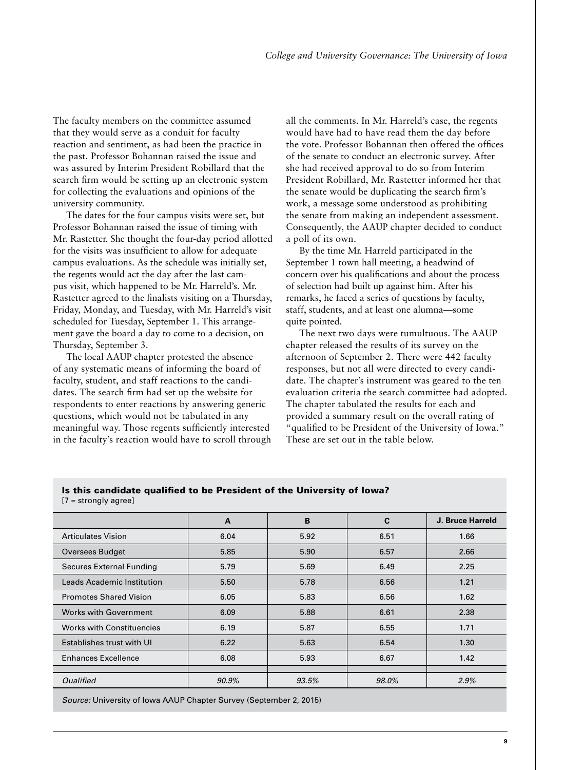The faculty members on the committee assumed that they would serve as a conduit for faculty reaction and sentiment, as had been the practice in the past. Professor Bohannan raised the issue and was assured by Interim President Robillard that the search firm would be setting up an electronic system for collecting the evaluations and opinions of the university community.

The dates for the four campus visits were set, but Professor Bohannan raised the issue of timing with Mr. Rastetter. She thought the four-day period allotted for the visits was insufficient to allow for adequate campus evaluations. As the schedule was initially set, the regents would act the day after the last campus visit, which happened to be Mr. Harreld's. Mr. Rastetter agreed to the finalists visiting on a Thursday, Friday, Monday, and Tuesday, with Mr. Harreld's visit scheduled for Tuesday, September 1. This arrangement gave the board a day to come to a decision, on Thursday, September 3.

The local AAUP chapter protested the absence of any systematic means of informing the board of faculty, student, and staff reactions to the candidates. The search firm had set up the website for respondents to enter reactions by answering generic questions, which would not be tabulated in any meaningful way. Those regents sufficiently interested in the faculty's reaction would have to scroll through all the comments. In Mr. Harreld's case, the regents would have had to have read them the day before the vote. Professor Bohannan then offered the offices of the senate to conduct an electronic survey. After she had received approval to do so from Interim President Robillard, Mr. Rastetter informed her that the senate would be duplicating the search firm's work, a message some understood as prohibiting the senate from making an independent assessment. Consequently, the AAUP chapter decided to conduct a poll of its own.

By the time Mr. Harreld participated in the September 1 town hall meeting, a headwind of concern over his qualifications and about the process of selection had built up against him. After his remarks, he faced a series of questions by faculty, staff, students, and at least one alumna—some quite pointed.

The next two days were tumultuous. The AAUP chapter released the results of its survey on the afternoon of September 2. There were 442 faculty responses, but not all were directed to every candidate. The chapter's instrument was geared to the ten evaluation criteria the search committee had adopted. The chapter tabulated the results for each and provided a summary result on the overall rating of "qualified to be President of the University of Iowa." These are set out in the table below.

#### Is this candidate qualified to be President of the University of Iowa? [7 = strongly agree]

|                                  | A     | B     | C     | J. Bruce Harreld |
|----------------------------------|-------|-------|-------|------------------|
| <b>Articulates Vision</b>        | 6.04  | 5.92  | 6.51  | 1.66             |
| <b>Oversees Budget</b>           | 5.85  | 5.90  | 6.57  | 2.66             |
| <b>Secures External Funding</b>  | 5.79  | 5.69  | 6.49  | 2.25             |
| Leads Academic Institution       | 5.50  | 5.78  | 6.56  | 1.21             |
| <b>Promotes Shared Vision</b>    | 6.05  | 5.83  | 6.56  | 1.62             |
| <b>Works with Government</b>     | 6.09  | 5.88  | 6.61  | 2.38             |
| <b>Works with Constituencies</b> | 6.19  | 5.87  | 6.55  | 1.71             |
| Establishes trust with UI        | 6.22  | 5.63  | 6.54  | 1.30             |
| <b>Enhances Excellence</b>       | 6.08  | 5.93  | 6.67  | 1.42             |
|                                  |       |       |       |                  |
| Qualified                        | 90.9% | 93.5% | 98.0% | 2.9%             |
|                                  |       |       |       |                  |

*Source:* University of Iowa AAUP Chapter Survey (September 2, 2015)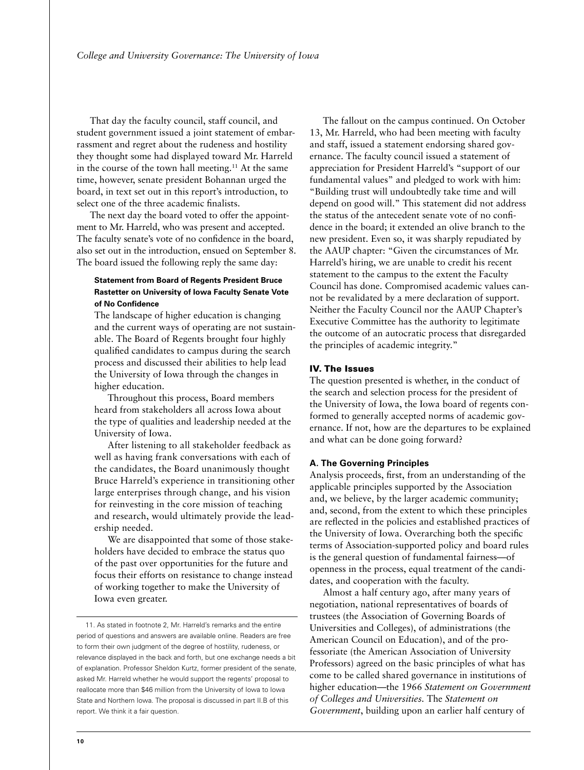That day the faculty council, staff council, and student government issued a joint statement of embarrassment and regret about the rudeness and hostility they thought some had displayed toward Mr. Harreld in the course of the town hall meeting.<sup>11</sup> At the same time, however, senate president Bohannan urged the board, in text set out in this report's introduction, to select one of the three academic finalists.

The next day the board voted to offer the appointment to Mr. Harreld, who was present and accepted. The faculty senate's vote of no confidence in the board, also set out in the introduction, ensued on September 8. The board issued the following reply the same day:

# **Statement from Board of Regents President Bruce Rastetter on University of Iowa Faculty Senate Vote of No Confidence**

The landscape of higher education is changing and the current ways of operating are not sustainable. The Board of Regents brought four highly qualified candidates to campus during the search process and discussed their abilities to help lead the University of Iowa through the changes in higher education.

Throughout this process, Board members heard from stakeholders all across Iowa about the type of qualities and leadership needed at the University of Iowa.

After listening to all stakeholder feedback as well as having frank conversations with each of the candidates, the Board unanimously thought Bruce Harreld's experience in transitioning other large enterprises through change, and his vision for reinvesting in the core mission of teaching and research, would ultimately provide the leadership needed.

We are disappointed that some of those stakeholders have decided to embrace the status quo of the past over opportunities for the future and focus their efforts on resistance to change instead of working together to make the University of Iowa even greater.

11. As stated in footnote 2, Mr. Harreld's remarks and the entire period of questions and answers are available online. Readers are free to form their own judgment of the degree of hostility, rudeness, or relevance displayed in the back and forth, but one exchange needs a bit of explanation. Professor Sheldon Kurtz, former president of the senate, asked Mr. Harreld whether he would support the regents' proposal to reallocate more than \$46 million from the University of Iowa to Iowa State and Northern Iowa. The proposal is discussed in part II.B of this report. We think it a fair question.

The fallout on the campus continued. On October 13, Mr. Harreld, who had been meeting with faculty and staff, issued a statement endorsing shared governance. The faculty council issued a statement of appreciation for President Harreld's "support of our fundamental values" and pledged to work with him: "Building trust will undoubtedly take time and will depend on good will." This statement did not address the status of the antecedent senate vote of no confidence in the board; it extended an olive branch to the new president. Even so, it was sharply repudiated by the AAUP chapter: "Given the circumstances of Mr. Harreld's hiring, we are unable to credit his recent statement to the campus to the extent the Faculty Council has done. Compromised academic values cannot be revalidated by a mere declaration of support. Neither the Faculty Council nor the AAUP Chapter's Executive Committee has the authority to legitimate the outcome of an autocratic process that disregarded the principles of academic integrity."

#### IV. The Issues

The question presented is whether, in the conduct of the search and selection process for the president of the University of Iowa, the Iowa board of regents conformed to generally accepted norms of academic governance. If not, how are the departures to be explained and what can be done going forward?

#### **A. The Governing Principles**

Analysis proceeds, first, from an understanding of the applicable principles supported by the Association and, we believe, by the larger academic community; and, second, from the extent to which these principles are reflected in the policies and established practices of the University of Iowa. Overarching both the specific terms of Association-supported policy and board rules is the general question of fundamental fairness—of openness in the process, equal treatment of the candidates, and cooperation with the faculty.

Almost a half century ago, after many years of negotiation, national representatives of boards of trustees (the Association of Governing Boards of Universities and Colleges), of administrations (the American Council on Education), and of the professoriate (the American Association of University Professors) agreed on the basic principles of what has come to be called shared governance in institutions of higher education—the 1966 *Statement on Government of Colleges and Universities.* The *Statement on Government*, building upon an earlier half century of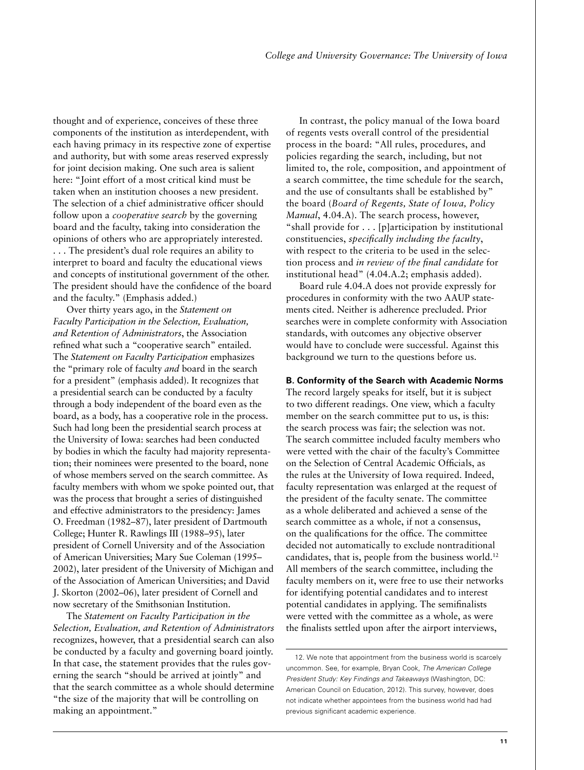thought and of experience, conceives of these three components of the institution as interdependent, with each having primacy in its respective zone of expertise and authority, but with some areas reserved expressly for joint decision making. One such area is salient here: "Joint effort of a most critical kind must be taken when an institution chooses a new president. The selection of a chief administrative officer should follow upon a *cooperative search* by the governing board and the faculty, taking into consideration the opinions of others who are appropriately interested. . . . The president's dual role requires an ability to interpret to board and faculty the educational views and concepts of institutional government of the other. The president should have the confidence of the board and the faculty." (Emphasis added.)

Over thirty years ago, in the *Statement on Faculty Participation in the Selection, Evaluation, and Retention of Administrators*, the Association refined what such a "cooperative search" entailed. The *Statement on Faculty Participation* emphasizes the "primary role of faculty *and* board in the search for a president" (emphasis added). It recognizes that a presidential search can be conducted by a faculty through a body independent of the board even as the board, as a body, has a cooperative role in the process. Such had long been the presidential search process at the University of Iowa: searches had been conducted by bodies in which the faculty had majority representation; their nominees were presented to the board, none of whose members served on the search committee. As faculty members with whom we spoke pointed out, that was the process that brought a series of distinguished and effective administrators to the presidency: James O. Freedman (1982–87), later president of Dartmouth College; Hunter R. Rawlings III (1988–95), later president of Cornell University and of the Association of American Universities; Mary Sue Coleman (1995– 2002), later president of the University of Michigan and of the Association of American Universities; and David J. Skorton (2002–06), later president of Cornell and now secretary of the Smithsonian Institution.

The *Statement on Faculty Participation in the Selection, Evaluation, and Retention of Administrators*  recognizes, however, that a presidential search can also be conducted by a faculty and governing board jointly. In that case, the statement provides that the rules governing the search "should be arrived at jointly" and that the search committee as a whole should determine "the size of the majority that will be controlling on making an appointment."

In contrast, the policy manual of the Iowa board of regents vests overall control of the presidential process in the board: "All rules, procedures, and policies regarding the search, including, but not limited to, the role, composition, and appointment of a search committee, the time schedule for the search, and the use of consultants shall be established by" the board (*Board of Regents, State of Iowa, Policy Manual*, 4.04.A). The search process, however, "shall provide for . . . [p]articipation by institutional constituencies, *specifically including the faculty*, with respect to the criteria to be used in the selection process and *in review of the final candidate* for institutional head" (4.04.A.2; emphasis added).

Board rule 4.04.A does not provide expressly for procedures in conformity with the two AAUP statements cited. Neither is adherence precluded. Prior searches were in complete conformity with Association standards, with outcomes any objective observer would have to conclude were successful. Against this background we turn to the questions before us.

#### **B. Conformity of the Search with Academic Norms**

The record largely speaks for itself, but it is subject to two different readings. One view, which a faculty member on the search committee put to us, is this: the search process was fair; the selection was not. The search committee included faculty members who were vetted with the chair of the faculty's Committee on the Selection of Central Academic Officials, as the rules at the University of Iowa required. Indeed, faculty representation was enlarged at the request of the president of the faculty senate. The committee as a whole deliberated and achieved a sense of the search committee as a whole, if not a consensus, on the qualifications for the office. The committee decided not automatically to exclude nontraditional candidates, that is, people from the business world.12 All members of the search committee, including the faculty members on it, were free to use their networks for identifying potential candidates and to interest potential candidates in applying. The semifinalists were vetted with the committee as a whole, as were the finalists settled upon after the airport interviews,

<sup>12.</sup> We note that appointment from the business world is scarcely uncommon. See, for example, Bryan Cook, *The American College President Study: Key Findings and Takeaways* (Washington, DC: American Council on Education, 2012). This survey, however, does not indicate whether appointees from the business world had had previous significant academic experience.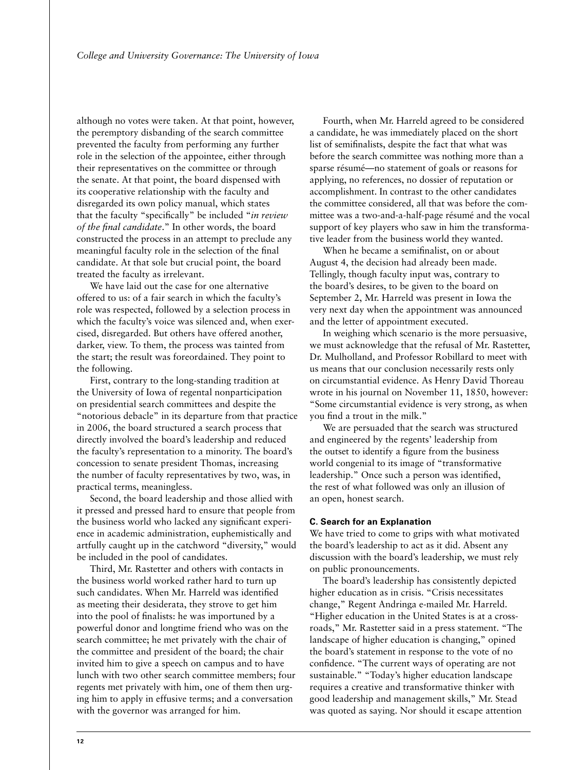although no votes were taken. At that point, however, the peremptory disbanding of the search committee prevented the faculty from performing any further role in the selection of the appointee, either through their representatives on the committee or through the senate. At that point, the board dispensed with its cooperative relationship with the faculty and disregarded its own policy manual, which states that the faculty "specifically" be included "*in review of the final candidate*." In other words, the board constructed the process in an attempt to preclude any meaningful faculty role in the selection of the final candidate. At that sole but crucial point, the board treated the faculty as irrelevant.

We have laid out the case for one alternative offered to us: of a fair search in which the faculty's role was respected, followed by a selection process in which the faculty's voice was silenced and, when exercised, disregarded. But others have offered another, darker, view. To them, the process was tainted from the start; the result was foreordained. They point to the following.

First, contrary to the long-standing tradition at the University of Iowa of regental nonparticipation on presidential search committees and despite the "notorious debacle" in its departure from that practice in 2006, the board structured a search process that directly involved the board's leadership and reduced the faculty's representation to a minority. The board's concession to senate president Thomas, increasing the number of faculty representatives by two, was, in practical terms, meaningless.

Second, the board leadership and those allied with it pressed and pressed hard to ensure that people from the business world who lacked any significant experience in academic administration, euphemistically and artfully caught up in the catchword "diversity," would be included in the pool of candidates.

Third, Mr. Rastetter and others with contacts in the business world worked rather hard to turn up such candidates. When Mr. Harreld was identified as meeting their desiderata, they strove to get him into the pool of finalists: he was importuned by a powerful donor and longtime friend who was on the search committee; he met privately with the chair of the committee and president of the board; the chair invited him to give a speech on campus and to have lunch with two other search committee members; four regents met privately with him, one of them then urging him to apply in effusive terms; and a conversation with the governor was arranged for him.

Fourth, when Mr. Harreld agreed to be considered a candidate, he was immediately placed on the short list of semifinalists, despite the fact that what was before the search committee was nothing more than a sparse résumé—no statement of goals or reasons for applying, no references, no dossier of reputation or accomplishment. In contrast to the other candidates the committee considered, all that was before the committee was a two-and-a-half-page résumé and the vocal support of key players who saw in him the transformative leader from the business world they wanted.

When he became a semifinalist, on or about August 4, the decision had already been made. Tellingly, though faculty input was, contrary to the board's desires, to be given to the board on September 2, Mr. Harreld was present in Iowa the very next day when the appointment was announced and the letter of appointment executed.

In weighing which scenario is the more persuasive, we must acknowledge that the refusal of Mr. Rastetter, Dr. Mulholland, and Professor Robillard to meet with us means that our conclusion necessarily rests only on circumstantial evidence. As Henry David Thoreau wrote in his journal on November 11, 1850, however: "Some circumstantial evidence is very strong, as when you find a trout in the milk."

We are persuaded that the search was structured and engineered by the regents' leadership from the outset to identify a figure from the business world congenial to its image of "transformative leadership." Once such a person was identified, the rest of what followed was only an illusion of an open, honest search.

#### **C. Search for an Explanation**

We have tried to come to grips with what motivated the board's leadership to act as it did. Absent any discussion with the board's leadership, we must rely on public pronouncements.

The board's leadership has consistently depicted higher education as in crisis. "Crisis necessitates change," Regent Andringa e-mailed Mr. Harreld. "Higher education in the United States is at a crossroads," Mr. Rastetter said in a press statement. "The landscape of higher education is changing," opined the board's statement in response to the vote of no confidence. "The current ways of operating are not sustainable." "Today's higher education landscape requires a creative and transformative thinker with good leadership and management skills," Mr. Stead was quoted as saying. Nor should it escape attention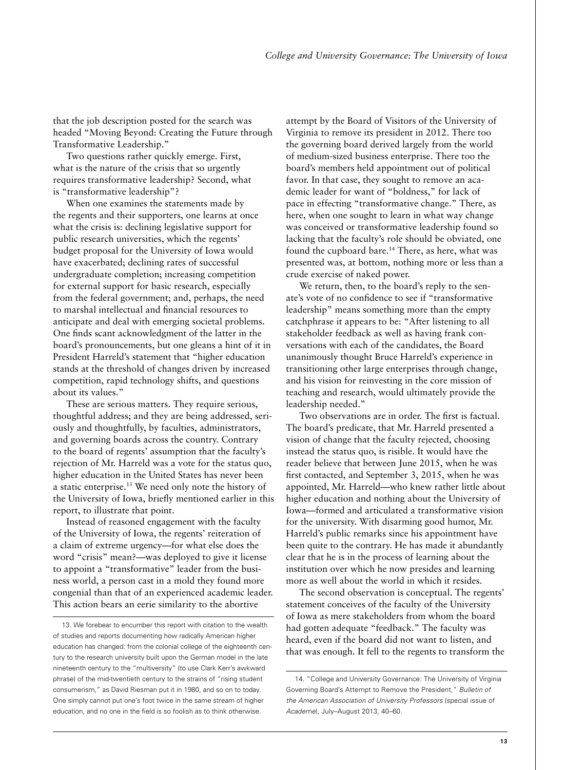that the job description posted for the search was headed "Moving Beyond: Creating the Future through Transformative Leadership."

Two questions rather quickly emerge. First, what is the nature of the crisis that so urgently requires transformative leadership? Second, what is "transformative leadership"?

When one examines the statements made by the regents and their supporters, one learns at once what the crisis is: declining legislative support for public research universities, which the regents' budget proposal for the University of Iowa would have exacerbated; declining rates of successful undergraduate completion; increasing competition for external support for basic research, especially from the federal government; and, perhaps, the need to marshal intellectual and financial resources to anticipate and deal with emerging societal problems. One finds scant acknowledgment of the latter in the board's pronouncements, but one gleans a hint of it in President Harreld's statement that "higher education stands at the threshold of changes driven by increased competition, rapid technology shifts, and questions about its values."

These are serious matters. They require serious, thoughtful address; and they are being addressed, seriously and thoughtfully, by faculties, administrators, and governing boards across the country. Contrary to the board of regents' assumption that the faculty's rejection of Mr. Harreld was a vote for the status quo, higher education in the United States has never been a static enterprise.13 We need only note the history of the University of Iowa, briefly mentioned earlier in this report, to illustrate that point.

Instead of reasoned engagement with the faculty of the University of Iowa, the regents' reiteration of a claim of extreme urgency—for what else does the word "crisis" mean?—was deployed to give it license to appoint a "transformative" leader from the business world, a person cast in a mold they found more congenial than that of an experienced academic leader. This action bears an eerie similarity to the abortive

attempt by the Board of Visitors of the University of Virginia to remove its president in 2012. There too the governing board derived largely from the world of medium-sized business enterprise. There too the board's members held appointment out of political favor. In that case, they sought to remove an academic leader for want of "boldness," for lack of pace in effecting "transformative change." There, as here, when one sought to learn in what way change was conceived or transformative leadership found so lacking that the faculty's role should be obviated, one found the cupboard bare.<sup>14</sup> There, as here, what was presented was, at bottom, nothing more or less than a crude exercise of naked power.

We return, then, to the board's reply to the senate's vote of no confidence to see if "transformative leadership" means something more than the empty catchphrase it appears to be: "After listening to all stakeholder feedback as well as having frank conversations with each of the candidates, the Board unanimously thought Bruce Harreld's experience in transitioning other large enterprises through change, and his vision for reinvesting in the core mission of teaching and research, would ultimately provide the leadership needed."

Two observations are in order. The first is factual. The board's predicate, that Mr. Harreld presented a vision of change that the faculty rejected, choosing instead the status quo, is risible. It would have the reader believe that between June 2015, when he was first contacted, and September 3, 2015, when he was appointed, Mr. Harreld—who knew rather little about higher education and nothing about the University of Iowa—formed and articulated a transformative vision for the university. With disarming good humor, Mr. Harreld's public remarks since his appointment have been quite to the contrary. He has made it abundantly clear that he is in the process of learning about the institution over which he now presides and learning more as well about the world in which it resides.

The second observation is conceptual. The regents' statement conceives of the faculty of the University of Iowa as mere stakeholders from whom the board had gotten adequate "feedback." The faculty was heard, even if the board did not want to listen, and that was enough. It fell to the regents to transform the

<sup>13.</sup> We forebear to encumber this report with citation to the wealth of studies and reports documenting how radically American higher education has changed: from the colonial college of the eighteenth century to the research university built upon the German model in the late nineteenth century to the "multiversity" (to use Clark Kerr's awkward phrase) of the mid-twentieth century to the strains of "rising student consumerism," as David Riesman put it in 1980, and so on to today. One simply cannot put one's foot twice in the same stream of higher education, and no one in the field is so foolish as to think otherwise.

<sup>14. &</sup>quot;College and University Governance: The University of Virginia Governing Board's Attempt to Remove the President," *Bulletin of the American Association of University Professors* (special issue of *Academe*), July–August 2013, 40–60.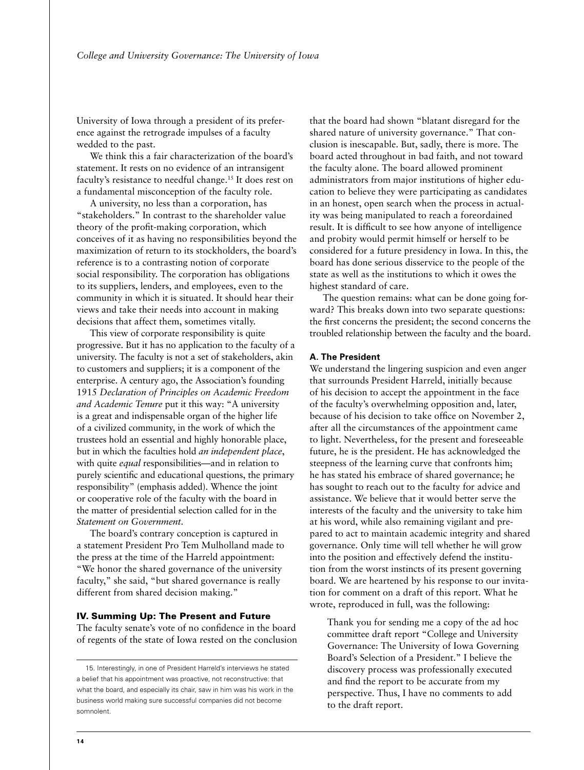University of Iowa through a president of its preference against the retrograde impulses of a faculty wedded to the past.

We think this a fair characterization of the board's statement. It rests on no evidence of an intransigent faculty's resistance to needful change.15 It does rest on a fundamental misconception of the faculty role.

A university, no less than a corporation, has "stakeholders." In contrast to the shareholder value theory of the profit-making corporation, which conceives of it as having no responsibilities beyond the maximization of return to its stockholders, the board's reference is to a contrasting notion of corporate social responsibility. The corporation has obligations to its suppliers, lenders, and employees, even to the community in which it is situated. It should hear their views and take their needs into account in making decisions that affect them, sometimes vitally.

This view of corporate responsibility is quite progressive. But it has no application to the faculty of a university. The faculty is not a set of stakeholders, akin to customers and suppliers; it is a component of the enterprise. A century ago, the Association's founding 1915 *Declaration of Principles on Academic Freedom and Academic Tenure* put it this way: "A university is a great and indispensable organ of the higher life of a civilized community, in the work of which the trustees hold an essential and highly honorable place, but in which the faculties hold *an independent place*, with quite *equal* responsibilities—and in relation to purely scientific and educational questions, the primary responsibility" (emphasis added). Whence the joint or cooperative role of the faculty with the board in the matter of presidential selection called for in the *Statement on Government*.

The board's contrary conception is captured in a statement President Pro Tem Mulholland made to the press at the time of the Harreld appointment: "We honor the shared governance of the university faculty," she said, "but shared governance is really different from shared decision making."

# IV. Summing Up: The Present and Future

The faculty senate's vote of no confidence in the board of regents of the state of Iowa rested on the conclusion that the board had shown "blatant disregard for the shared nature of university governance." That conclusion is inescapable. But, sadly, there is more. The board acted throughout in bad faith, and not toward the faculty alone. The board allowed prominent administrators from major institutions of higher education to believe they were participating as candidates in an honest, open search when the process in actuality was being manipulated to reach a foreordained result. It is difficult to see how anyone of intelligence and probity would permit himself or herself to be considered for a future presidency in Iowa. In this, the board has done serious disservice to the people of the state as well as the institutions to which it owes the highest standard of care.

The question remains: what can be done going forward? This breaks down into two separate questions: the first concerns the president; the second concerns the troubled relationship between the faculty and the board.

#### **A. The President**

We understand the lingering suspicion and even anger that surrounds President Harreld, initially because of his decision to accept the appointment in the face of the faculty's overwhelming opposition and, later, because of his decision to take office on November 2, after all the circumstances of the appointment came to light. Nevertheless, for the present and foreseeable future, he is the president. He has acknowledged the steepness of the learning curve that confronts him; he has stated his embrace of shared governance; he has sought to reach out to the faculty for advice and assistance. We believe that it would better serve the interests of the faculty and the university to take him at his word, while also remaining vigilant and prepared to act to maintain academic integrity and shared governance. Only time will tell whether he will grow into the position and effectively defend the institution from the worst instincts of its present governing board. We are heartened by his response to our invitation for comment on a draft of this report. What he wrote, reproduced in full, was the following:

Thank you for sending me a copy of the ad hoc committee draft report "College and University Governance: The University of Iowa Governing Board's Selection of a President." I believe the discovery process was professionally executed and find the report to be accurate from my perspective. Thus, I have no comments to add to the draft report.

<sup>15.</sup> Interestingly, in one of President Harreld's interviews he stated a belief that his appointment was proactive, not reconstructive: that what the board, and especially its chair, saw in him was his work in the business world making sure successful companies did not become somnolent.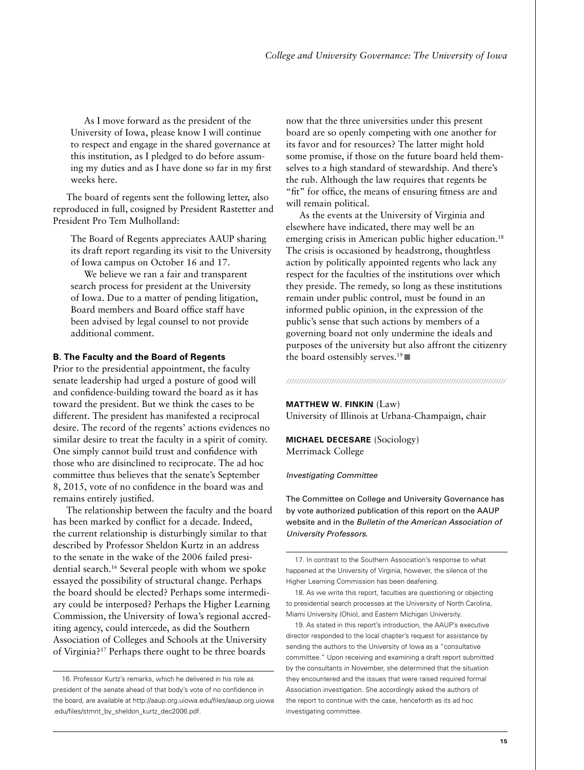As I move forward as the president of the University of Iowa, please know I will continue to respect and engage in the shared governance at this institution, as I pledged to do before assuming my duties and as I have done so far in my first weeks here.

The board of regents sent the following letter, also reproduced in full, cosigned by President Rastetter and President Pro Tem Mulholland:

The Board of Regents appreciates AAUP sharing its draft report regarding its visit to the University of Iowa campus on October 16 and 17.

We believe we ran a fair and transparent search process for president at the University of Iowa. Due to a matter of pending litigation, Board members and Board office staff have been advised by legal counsel to not provide additional comment.

#### **B. The Faculty and the Board of Regents**

Prior to the presidential appointment, the faculty senate leadership had urged a posture of good will and confidence-building toward the board as it has toward the president. But we think the cases to be different. The president has manifested a reciprocal desire. The record of the regents' actions evidences no similar desire to treat the faculty in a spirit of comity. One simply cannot build trust and confidence with those who are disinclined to reciprocate. The ad hoc committee thus believes that the senate's September 8, 2015, vote of no confidence in the board was and remains entirely justified.

The relationship between the faculty and the board has been marked by conflict for a decade. Indeed, the current relationship is disturbingly similar to that described by Professor Sheldon Kurtz in an address to the senate in the wake of the 2006 failed presidential search.16 Several people with whom we spoke essayed the possibility of structural change. Perhaps the board should be elected? Perhaps some intermediary could be interposed? Perhaps the Higher Learning Commission, the University of Iowa's regional accrediting agency, could intercede, as did the Southern Association of Colleges and Schools at the University of Virginia?17 Perhaps there ought to be three boards

now that the three universities under this present board are so openly competing with one another for its favor and for resources? The latter might hold some promise, if those on the future board held themselves to a high standard of stewardship. And there's the rub. Although the law requires that regents be "fit" for office, the means of ensuring fitness are and will remain political.

As the events at the University of Virginia and elsewhere have indicated, there may well be an emerging crisis in American public higher education.<sup>18</sup> The crisis is occasioned by headstrong, thoughtless action by politically appointed regents who lack any respect for the faculties of the institutions over which they preside. The remedy, so long as these institutions remain under public control, must be found in an informed public opinion, in the expression of the public's sense that such actions by members of a governing board not only undermine the ideals and purposes of the university but also affront the citizenry the board ostensibly serves.<sup>19</sup>

#### *////////////////////////////////////////////////////////////////////////////////////////*

#### **MATTHEW W. FINKIN** (Law) University of Illinois at Urbana-Champaign, chair

**MICHAEL DECESARE** (Sociology) Merrimack College

#### *Investigating Committee*

The Committee on College and University Governance has by vote authorized publication of this report on the AAUP website and in the *Bulletin of the American Association of University Professors*.

17. In contrast to the Southern Association's response to what happened at the University of Virginia, however, the silence of the Higher Learning Commission has been deafening.

18. As we write this report, faculties are questioning or objecting to presidential search processes at the University of North Carolina, Miami University (Ohio), and Eastern Michigan University.

19. As stated in this report's introduction, the AAUP's executive director responded to the local chapter's request for assistance by sending the authors to the University of Iowa as a "consultative committee." Upon receiving and examining a draft report submitted by the consultants in November, she determined that the situation they encountered and the issues that were raised required formal Association investigation. She accordingly asked the authors of the report to continue with the case, henceforth as its ad hoc investigating committee.

<sup>16.</sup> Professor Kurtz's remarks, which he delivered in his role as president of the senate ahead of that body's vote of no confidence in the board, are available at [http://aaup.org.uiowa.edu/files/aaup.org.uiowa](http://aaup.org.uiowa.edu/files/aaup.org.uiowa.edu/files/stmnt_by_sheldon_kurtz_dec2006.pdf) [.edu/files/stmnt\\_by\\_sheldon\\_kurtz\\_dec2006.pdf.](http://aaup.org.uiowa.edu/files/aaup.org.uiowa.edu/files/stmnt_by_sheldon_kurtz_dec2006.pdf)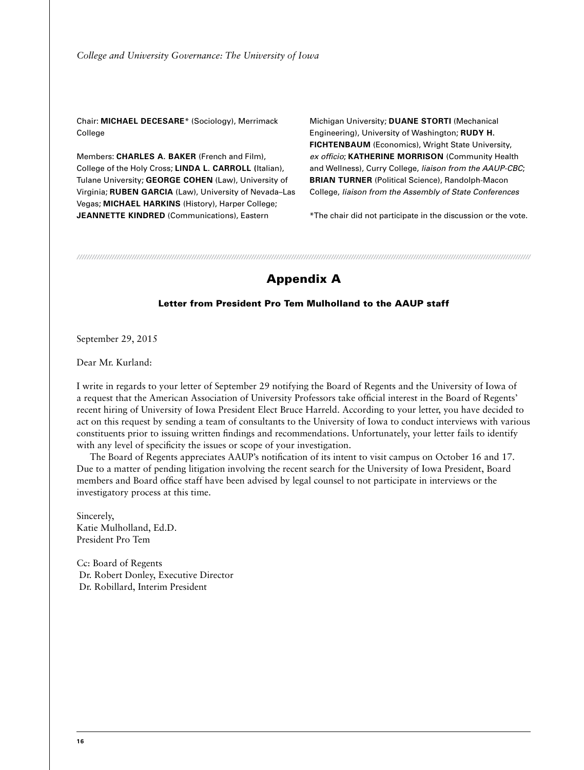Chair: **MICHAEL DECESARE**\* (Sociology), Merrimack College

Members: **CHARLES A. BAKER** (French and Film), College of the Holy Cross; **LINDA L. CARROLL (**Italian), Tulane University; **GEORGE COHEN** (Law), University of Virginia; **RUBEN GARCIA** (Law), University of Nevada–Las Vegas; **MICHAEL HARKINS** (History), Harper College; **JEANNETTE KINDRED** (Communications), Eastern

Michigan University; **DUANE STORTI** (Mechanical Engineering), University of Washington; **RUDY H. FICHTENBAUM** (Economics), Wright State University, *ex officio*; **KATHERINE MORRISON** (Community Health and Wellness), Curry College, *liaison from the AAUP-CBC*; **BRIAN TURNER** (Political Science), Randolph-Macon College, *liaison from the Assembly of State Conferences*

\*The chair did not participate in the discussion or the vote.

*//////////////////////////////////////////////////////////////////////////////////////////////////////////////////////////////////////////////////////////////////////////////////////*

# Appendix A

# Letter from President Pro Tem Mulholland to the AAUP staff

September 29, 2015

Dear Mr. Kurland:

I write in regards to your letter of September 29 notifying the Board of Regents and the University of Iowa of a request that the American Association of University Professors take official interest in the Board of Regents' recent hiring of University of Iowa President Elect Bruce Harreld. According to your letter, you have decided to act on this request by sending a team of consultants to the University of Iowa to conduct interviews with various constituents prior to issuing written findings and recommendations. Unfortunately, your letter fails to identify with any level of specificity the issues or scope of your investigation.

The Board of Regents appreciates AAUP's notification of its intent to visit campus on October 16 and 17. Due to a matter of pending litigation involving the recent search for the University of Iowa President, Board members and Board office staff have been advised by legal counsel to not participate in interviews or the investigatory process at this time.

Sincerely, Katie Mulholland, Ed.D. President Pro Tem

Cc: Board of Regents Dr. Robert Donley, Executive Director Dr. Robillard, Interim President